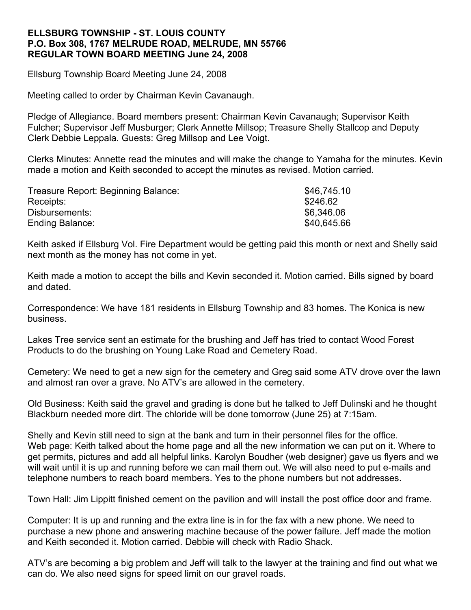## **ELLSBURG TOWNSHIP - ST. LOUIS COUNTY P.O. Box 308, 1767 MELRUDE ROAD, MELRUDE, MN 55766 REGULAR TOWN BOARD MEETING June 24, 2008**

Ellsburg Township Board Meeting June 24, 2008

Meeting called to order by Chairman Kevin Cavanaugh.

Pledge of Allegiance. Board members present: Chairman Kevin Cavanaugh; Supervisor Keith Fulcher; Supervisor Jeff Musburger; Clerk Annette Millsop; Treasure Shelly Stallcop and Deputy Clerk Debbie Leppala. Guests: Greg Millsop and Lee Voigt.

Clerks Minutes: Annette read the minutes and will make the change to Yamaha for the minutes. Kevin made a motion and Keith seconded to accept the minutes as revised. Motion carried.

| Treasure Report: Beginning Balance: | \$46,745.10 |
|-------------------------------------|-------------|
| Receipts:                           | \$246.62    |
| Disbursements:                      | \$6,346.06  |
| Ending Balance:                     | \$40,645.66 |

Keith asked if Ellsburg Vol. Fire Department would be getting paid this month or next and Shelly said next month as the money has not come in yet.

Keith made a motion to accept the bills and Kevin seconded it. Motion carried. Bills signed by board and dated.

Correspondence: We have 181 residents in Ellsburg Township and 83 homes. The Konica is new business.

Lakes Tree service sent an estimate for the brushing and Jeff has tried to contact Wood Forest Products to do the brushing on Young Lake Road and Cemetery Road.

Cemetery: We need to get a new sign for the cemetery and Greg said some ATV drove over the lawn and almost ran over a grave. No ATV's are allowed in the cemetery.

Old Business: Keith said the gravel and grading is done but he talked to Jeff Dulinski and he thought Blackburn needed more dirt. The chloride will be done tomorrow (June 25) at 7:15am.

Shelly and Kevin still need to sign at the bank and turn in their personnel files for the office. Web page: Keith talked about the home page and all the new information we can put on it. Where to get permits, pictures and add all helpful links. Karolyn Boudher (web designer) gave us flyers and we will wait until it is up and running before we can mail them out. We will also need to put e-mails and telephone numbers to reach board members. Yes to the phone numbers but not addresses.

Town Hall: Jim Lippitt finished cement on the pavilion and will install the post office door and frame.

Computer: It is up and running and the extra line is in for the fax with a new phone. We need to purchase a new phone and answering machine because of the power failure. Jeff made the motion and Keith seconded it. Motion carried. Debbie will check with Radio Shack.

ATV's are becoming a big problem and Jeff will talk to the lawyer at the training and find out what we can do. We also need signs for speed limit on our gravel roads.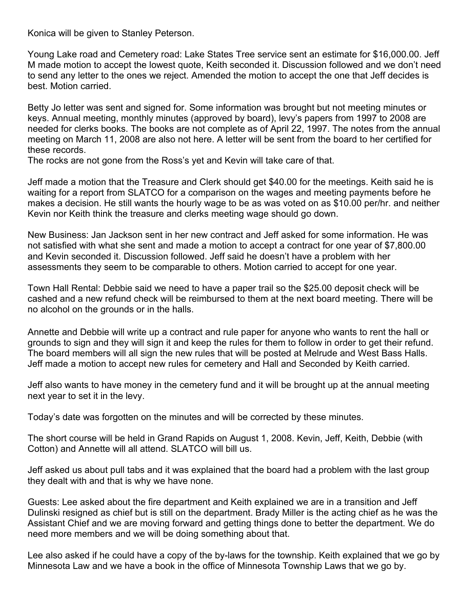Konica will be given to Stanley Peterson.

Young Lake road and Cemetery road: Lake States Tree service sent an estimate for \$16,000.00. Jeff M made motion to accept the lowest quote, Keith seconded it. Discussion followed and we don't need to send any letter to the ones we reject. Amended the motion to accept the one that Jeff decides is best. Motion carried.

Betty Jo letter was sent and signed for. Some information was brought but not meeting minutes or keys. Annual meeting, monthly minutes (approved by board), levy's papers from 1997 to 2008 are needed for clerks books. The books are not complete as of April 22, 1997. The notes from the annual meeting on March 11, 2008 are also not here. A letter will be sent from the board to her certified for these records.

The rocks are not gone from the Ross's yet and Kevin will take care of that.

Jeff made a motion that the Treasure and Clerk should get \$40.00 for the meetings. Keith said he is waiting for a report from SLATCO for a comparison on the wages and meeting payments before he makes a decision. He still wants the hourly wage to be as was voted on as \$10.00 per/hr. and neither Kevin nor Keith think the treasure and clerks meeting wage should go down.

New Business: Jan Jackson sent in her new contract and Jeff asked for some information. He was not satisfied with what she sent and made a motion to accept a contract for one year of \$7,800.00 and Kevin seconded it. Discussion followed. Jeff said he doesn't have a problem with her assessments they seem to be comparable to others. Motion carried to accept for one year.

Town Hall Rental: Debbie said we need to have a paper trail so the \$25.00 deposit check will be cashed and a new refund check will be reimbursed to them at the next board meeting. There will be no alcohol on the grounds or in the halls.

Annette and Debbie will write up a contract and rule paper for anyone who wants to rent the hall or grounds to sign and they will sign it and keep the rules for them to follow in order to get their refund. The board members will all sign the new rules that will be posted at Melrude and West Bass Halls. Jeff made a motion to accept new rules for cemetery and Hall and Seconded by Keith carried.

Jeff also wants to have money in the cemetery fund and it will be brought up at the annual meeting next year to set it in the levy.

Today's date was forgotten on the minutes and will be corrected by these minutes.

The short course will be held in Grand Rapids on August 1, 2008. Kevin, Jeff, Keith, Debbie (with Cotton) and Annette will all attend. SLATCO will bill us.

Jeff asked us about pull tabs and it was explained that the board had a problem with the last group they dealt with and that is why we have none.

Guests: Lee asked about the fire department and Keith explained we are in a transition and Jeff Dulinski resigned as chief but is still on the department. Brady Miller is the acting chief as he was the Assistant Chief and we are moving forward and getting things done to better the department. We do need more members and we will be doing something about that.

Lee also asked if he could have a copy of the by-laws for the township. Keith explained that we go by Minnesota Law and we have a book in the office of Minnesota Township Laws that we go by.